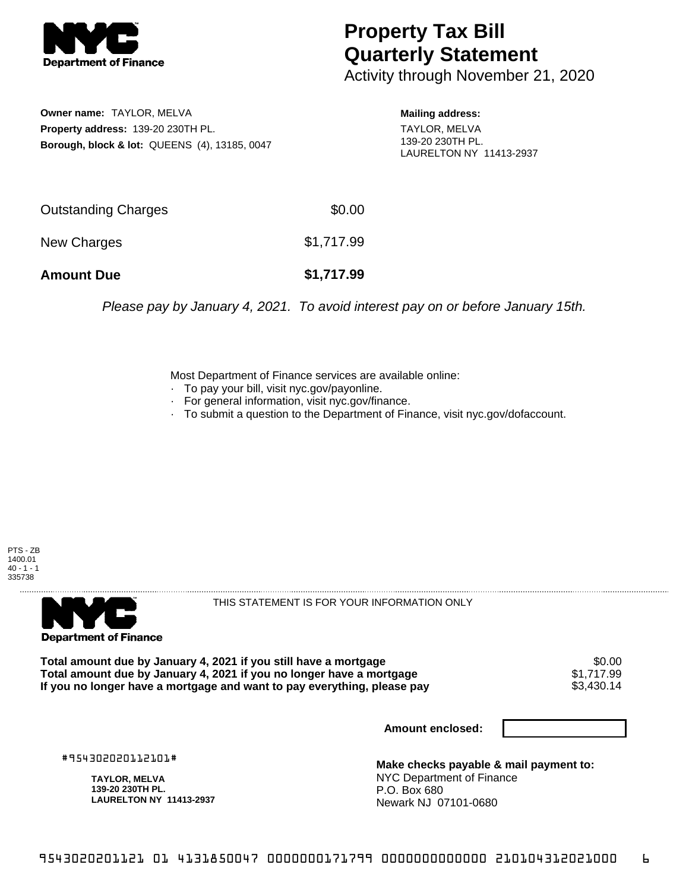

## **Property Tax Bill Quarterly Statement**

Activity through November 21, 2020

**Owner name:** TAYLOR, MELVA **Property address:** 139-20 230TH PL. **Borough, block & lot:** QUEENS (4), 13185, 0047 **Mailing address:**

TAYLOR, MELVA 139-20 230TH PL. LAURELTON NY 11413-2937

| <b>Amount Due</b>   | \$1,717.99 |
|---------------------|------------|
| New Charges         | \$1,717.99 |
| Outstanding Charges | \$0.00     |

Please pay by January 4, 2021. To avoid interest pay on or before January 15th.

Most Department of Finance services are available online:

- · To pay your bill, visit nyc.gov/payonline.
- For general information, visit nyc.gov/finance.
- · To submit a question to the Department of Finance, visit nyc.gov/dofaccount.





THIS STATEMENT IS FOR YOUR INFORMATION ONLY

Total amount due by January 4, 2021 if you still have a mortgage \$0.00<br>Total amount due by January 4, 2021 if you no longer have a mortgage \$1.717.99 **Total amount due by January 4, 2021 if you no longer have a mortgage**  $$1,717.99$ **<br>If you no longer have a mortgage and want to pay everything, please pay <b>show that the summan set of the s** If you no longer have a mortgage and want to pay everything, please pay

**Amount enclosed:**

#954302020112101#

**TAYLOR, MELVA 139-20 230TH PL. LAURELTON NY 11413-2937**

**Make checks payable & mail payment to:** NYC Department of Finance P.O. Box 680 Newark NJ 07101-0680